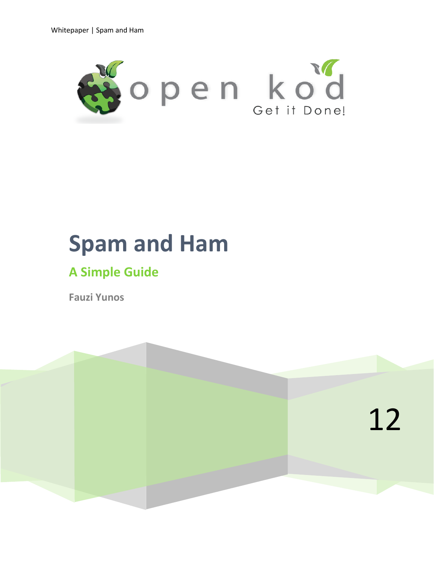

# **Spam and Ham**

# **A Simple Guide**

**Fauzi Yunos** 

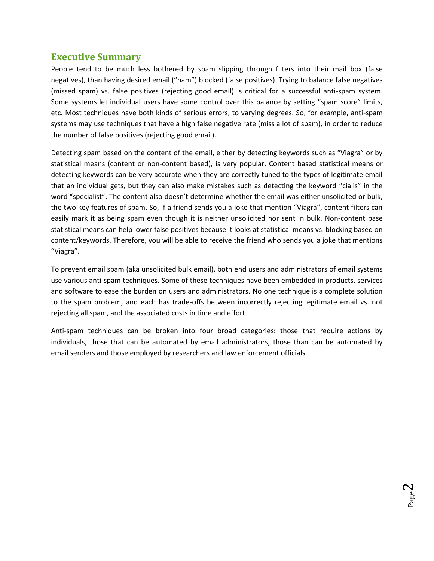#### **Executive Summary**

<span id="page-1-0"></span>People tend to be much less bothered by spam slipping through filters into their mail box (false negatives), than having desired email ("ham") blocked (false positives). Trying to balance false negatives (missed spam) vs. false positives (rejecting good email) is critical for a successful anti-spam system. Some systems let individual users have some control over this balance by setting "spam score" limits, etc. Most techniques have both kinds of serious errors, to varying degrees. So, for example, anti-spam systems may use techniques that have a high false negative rate (miss a lot of spam), in order to reduce the number of false positives (rejecting good email).

Detecting spam based on the content of the email, either by detecting keywords such as "Viagra" or by statistical means (content or non-content based), is very popular. Content based statistical means or detecting keywords can be very accurate when they are correctly tuned to the types of legitimate email that an individual gets, but they can also make mistakes such as detecting the keyword "cialis" in the word "specialist". The content also doesn't determine whether the email was either unsolicited or bulk, the two key features of spam. So, if a friend sends you a joke that mention "Viagra", content filters can easily mark it as being spam even though it is neither unsolicited nor sent in bulk. Non-content base statistical means can help lower false positives because it looks at statistical means vs. blocking based on content/keywords. Therefore, you will be able to receive the friend who sends you a joke that mentions "Viagra".

To prevent email spam (aka unsolicited bulk email), both end users and administrators of email systems use various anti-spam techniques. Some of these techniques have been embedded in products, services and software to ease the burden on users and administrators. No one technique is a complete solution to the spam problem, and each has trade-offs between incorrectly rejecting legitimate email vs. not rejecting all spam, and the associated costs in time and effort.

Anti-spam techniques can be broken into four broad categories: those that require actions by individuals, those that can be automated by email administrators, those than can be automated by email senders and those employed by researchers and law enforcement officials.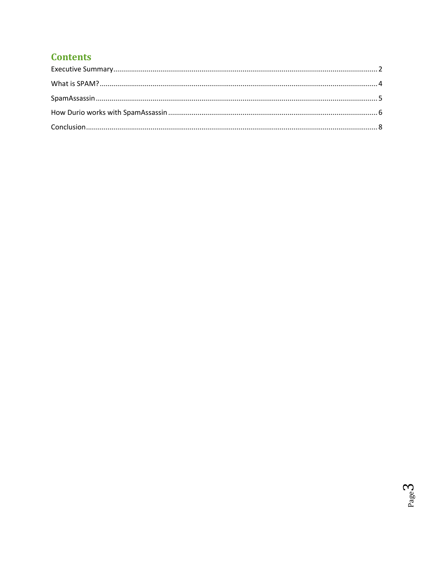# **Contents**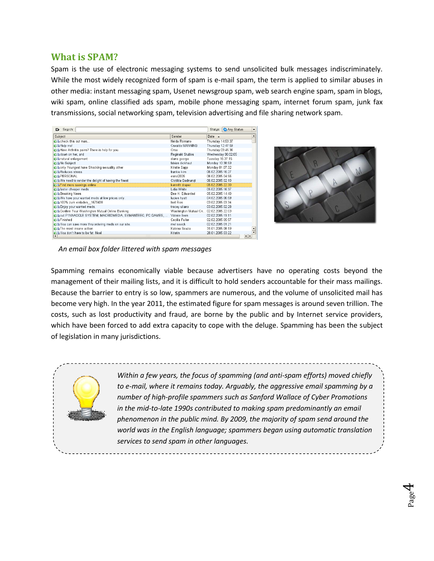#### **What is SPAM?**

<span id="page-3-0"></span>Spam is the use of electronic messaging systems to send unsolicited bulk messages indiscriminately. While the most widely recognized form of spam is e-mail spam, the term is applied to similar abuses in other media: instant messaging spam, Usenet newsgroup spam, web search engine spam, spam in blogs, wiki spam, online classified ads spam, mobile phone messaging spam, internet forum spam, junk fax transmissions, social networking spam, television advertising and file sharing network spam.

| Se <u>a</u> rch:<br>₽                                      |                                       | Status: Any Status | $\overline{\phantom{0}}$ |
|------------------------------------------------------------|---------------------------------------|--------------------|--------------------------|
| Subject                                                    | Sender                                | Date $\rightarrow$ | $\blacktriangle$         |
| <b>Clin</b> check this out man                             | Nelda Romano                          | Thursday 14:59:37  |                          |
| <b>Cia</b> Help me!                                        | Osvaldo MANNING                       | Thursday 12:47:59  |                          |
| Have Arthritis pains? There is help for you.               | Orsa                                  | Thursday 03:45:36  |                          |
| <b>Cli</b> down on her, and                                | Reginald Stubbs                       | Wednesday 06:02:05 |                          |
| <b>Cla</b> natural enlargement                             | diane george                          | Tuesday 16:37:15   |                          |
| <b>Olla</b> No Subject                                     | fabian dickhaut                       | Monday 10:38:59    |                          |
| only Youngest have Shocking sexuality other                | Kristie Sapp                          | Monday 01:07:32    |                          |
| <b>Chi</b> Reduces stress                                  | frankie kim                           | 06 02 2005 16:27   |                          |
| <b>CA PERSONAL</b>                                         | esnol2005                             | 06.02.2005 04:56   |                          |
| We need to render the delight of having the finest         | Clotilda Gadnungt                     | 06.02.2005.02:10   |                          |
| <b>OB</b> Find more sawings online                         | kennith draper                        | 05.02.2005 22:30   |                          |
| <b>Cla</b> faster cheaper meds                             | Lidia White                           | 05 02 2005 16:37   |                          |
| <b>Child</b> Breaking News                                 | Dee H. Edwardsd                       | 05.02.2005 14:40   |                          |
| On We have your wanted meds at low prices only.            | lucien hyatt                          | 04.02.2005 06:59   |                          |
| <b>Oll</b> 100% zum einladen 1679438                       | Isel Rios                             | 03.02.2005 03:34   |                          |
| <b>Cla</b> Enjoy your wanted meds.                         | tracey uliano                         | 03.02.2005 02:28   |                          |
| Confirm Your Washington Mutual Online Banking              | Washington Mutual On 02.02.2005 22:03 |                    |                          |
| CHI out P1NNACCLE SYSTEM, MACROOMEDIA, SYMANTEEC, PC GAMES | Valerie Ileen                         | 02.02.2005 19:11   |                          |
| <b>Call</b> Finished                                       | Cecilia Fuller                        | 02 02 2005 05:57   |                          |
| You can save more thru ordering meds on our site.          | mel sevick                            | 02.02.2005 01:21   |                          |
| <b>Com</b> The most insane action                          | Katrina Souza                         | 31.01.2005 08:19   |                          |
| You don't have to be fat Noel                              | Kristin                               | 28.01.2005 03:22   |                          |
| 77777<br>$\blacksquare$                                    |                                       |                    | $\left  \cdot \right $   |



Page  $\overline{\mathcal{A}}$ 

*An email box folder littered with spam messages*

Spamming remains economically viable because advertisers have no operating costs beyond the management of their mailing lists, and it is difficult to hold senders accountable for their mass mailings. Because the barrier to entry is so low, spammers are numerous, and the volume of unsolicited mail has become very high. In the year 2011, the estimated figure for spam messages is around seven trillion. The costs, such as lost productivity and fraud, are borne by the public and by Internet service providers, which have been forced to add extra capacity to cope with the deluge. Spamming has been the subject of legislation in many jurisdictions.



*Within a few years, the focus of spamming (and anti-spam efforts) moved chiefly to e-mail, where it remains today. Arguably, the aggressive email spamming by a number of high-profile spammers such as Sanford Wallace of Cyber Promotions in the mid-to-late 1990s contributed to making spam predominantly an email phenomenon in the public mind. By 2009, the majority of spam send around the world was in the English language; spammers began using automatic translation services to send spam in other languages.*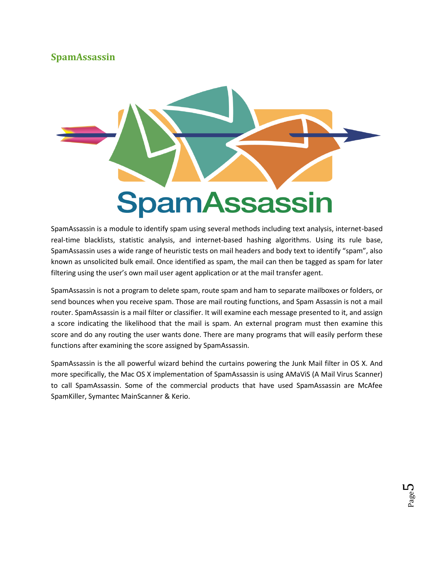### <span id="page-4-0"></span>**SpamAssassin**



SpamAssassin is a module to identify spam using several methods including text analysis, internet-based real-time blacklists, statistic analysis, and internet-based hashing algorithms. Using its rule base, SpamAssassin uses a wide range of heuristic tests on mail headers and body text to identify "spam", also known as unsolicited bulk email. Once identified as spam, the mail can then be tagged as spam for later filtering using the user's own mail user agent application or at the mail transfer agent.

SpamAssassin is not a program to delete spam, route spam and ham to separate mailboxes or folders, or send bounces when you receive spam. Those are mail routing functions, and Spam Assassin is not a mail router. SpamAssassin is a mail filter or classifier. It will examine each message presented to it, and assign a score indicating the likelihood that the mail is spam. An external program must then examine this score and do any routing the user wants done. There are many programs that will easily perform these functions after examining the score assigned by SpamAssassin.

SpamAssassin is the all powerful wizard behind the curtains powering the Junk Mail filter in OS X. And more specifically, the Mac OS X implementation of SpamAssassin is using AMaViS (A Mail Virus Scanner) to call SpamAssassin. Some of the commercial products that have used SpamAssassin are McAfee SpamKiller, Symantec MainScanner & Kerio.

> Page L∩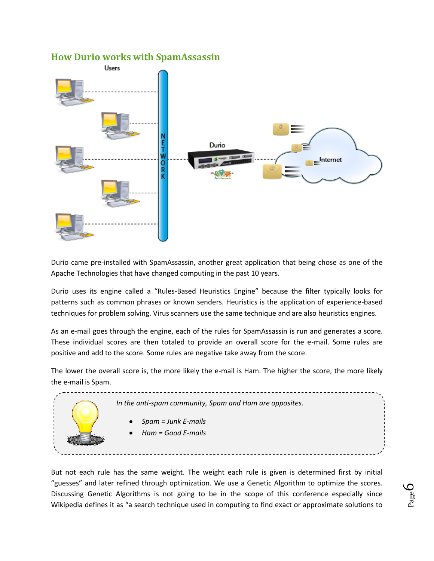#### **How Durio works with SpamAssassin**

<span id="page-5-0"></span>

Durio came pre-installed with SpamAssassin, another great application that being chose as one of the Apache Technologies that have changed computing in the past 10 years.

Durio uses its engine called a "Rules-Based Heuristics Engine" because the filter typically looks for patterns such as common phrases or known senders. Heuristics is the application of experience-based techniques for problem solving. Virus scanners use the same technique and are also heuristics engines.

As an e-mail goes through the engine, each of the rules for SpamAssassin is run and generates a score. These individual scores are then totaled to provide an overall score for the e-mail. Some rules are positive and add to the score. Some rules are negative take away from the score.

The lower the overall score is, the more likely the e-mail is Ham. The higher the score, the more likely the e-mail is Spam.



But not each rule has the same weight. The weight each rule is given is determined first by initial "guesses" and later refined through optimization. We use a Genetic Algorithm to optimize the scores. Discussing Genetic Algorithms is not going to be in the scope of this conference especially since Wikipedia defines it as "a search technique used in computing to find exact or approximate solutions to

Page 6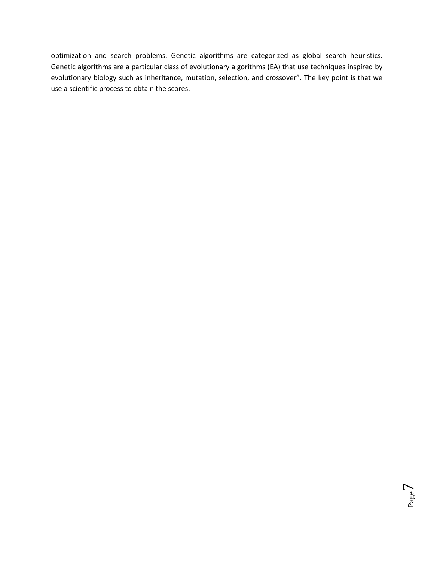optimization and search problems. Genetic algorithms are categorized as global search heuristics. Genetic algorithms are a particular class of evolutionary algorithms (EA) that use techniques inspired by evolutionary biology such as inheritance, mutation, selection, and crossover". The key point is that we use a scientific process to obtain the scores.